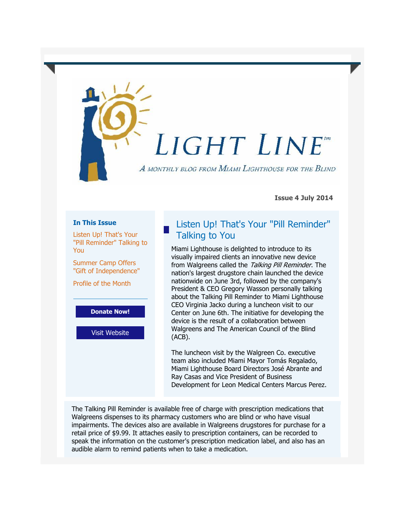# LIGHT LINE

A MONTHLY BLOG FROM MIAMI LIGHTHOUSE FOR THE BLIND

**Issue 4 July 2014**

#### **In This Issue**

[Listen Up! That's Your](https://ui.constantcontact.com/visualeditor/visual_editor_preview.jsp?agent.uid=1117670861360&format=html&printFrame=true#LETTER.BLOCK12)  ["Pill Reminder" Talking to](https://ui.constantcontact.com/visualeditor/visual_editor_preview.jsp?agent.uid=1117670861360&format=html&printFrame=true#LETTER.BLOCK12)  [You](https://ui.constantcontact.com/visualeditor/visual_editor_preview.jsp?agent.uid=1117670861360&format=html&printFrame=true#LETTER.BLOCK12)

[Summer Camp Offers](https://ui.constantcontact.com/visualeditor/visual_editor_preview.jsp?agent.uid=1117670861360&format=html&printFrame=true#LETTER.BLOCK36)  ["Gift of Independence"](https://ui.constantcontact.com/visualeditor/visual_editor_preview.jsp?agent.uid=1117670861360&format=html&printFrame=true#LETTER.BLOCK36)

[Profile of the Month](https://ui.constantcontact.com/visualeditor/visual_editor_preview.jsp?agent.uid=1117670861360&format=html&printFrame=true#LETTER.BLOCK41)

**[Donate Now!](http://r20.rs6.net/tn.jsp?e=001iZ2Bj4aDxpfwm2mNYRBfjISWWwVeT5DfmPllqhCAf-Hm5xeElsoV4g-DKqCklTg6Oc-1k7jKtH8dLrC69VDYIfSCH5UqP5Vd-RpqdhbnKe89eHQuDkf4Th8T7gDpu984MG-3gx-n3ps=)**

[Visit Website](http://r20.rs6.net/tn.jsp?e=001iZ2Bj4aDxpfwm2mNYRBfjISWWwVeT5DfmPllqhCAf-Hm5xeElsoV4g-DKqCklTg6JbQvwjJ_1GBpN92ig1e-aomJZOw4XQFYyZ0Zz7oK6W5tTmCe4aQuSQ==)

## Listen Up! That's Your "Pill Reminder" Talking to You

Miami Lighthouse is delighted to introduce to its visually impaired clients an innovative new device from Walgreens called the Talking Pill Reminder. The nation's largest drugstore chain launched the device nationwide on June 3rd, followed by the company's President & CEO Gregory Wasson personally talking about the Talking Pill Reminder to Miami Lighthouse CEO Virginia Jacko during a luncheon visit to our Center on June 6th. The initiative for developing the device is the result of a collaboration between Walgreens and The American Council of the Blind (ACB).

The luncheon visit by the Walgreen Co. executive team also included Miami Mayor Tomás Regalado, Miami Lighthouse Board Directors José Abrante and Ray Casas and Vice President of Business Development for Leon Medical Centers Marcus Perez.

The Talking Pill Reminder is available free of charge with prescription medications that Walgreens dispenses to its pharmacy customers who are blind or who have visual impairments. The devices also are available in Walgreens drugstores for purchase for a retail price of \$9.99. It attaches easily to prescription containers, can be recorded to speak the information on the customer's prescription medication label, and also has an audible alarm to remind patients when to take a medication.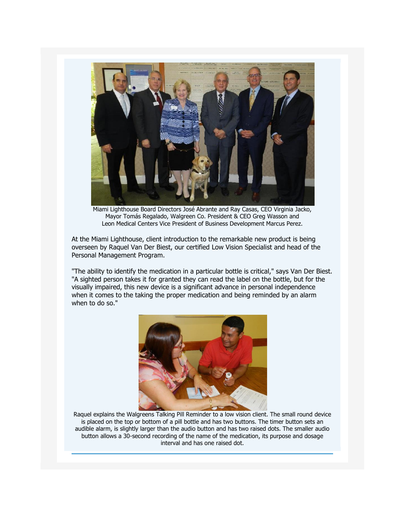

Miami Lighthouse Board Directors José Abrante and Ray Casas, CEO Virginia Jacko, Mayor Tomás Regalado, Walgreen Co. President & CEO Greg Wasson and Leon Medical Centers Vice President of Business Development Marcus Perez.

At the Miami Lighthouse, client introduction to the remarkable new product is being overseen by Raquel Van Der Biest, our certified Low Vision Specialist and head of the Personal Management Program.

"The ability to identify the medication in a particular bottle is critical," says Van Der Biest. "A sighted person takes it for granted they can read the label on the bottle, but for the visually impaired, this new device is a significant advance in personal independence when it comes to the taking the proper medication and being reminded by an alarm when to do so."



Raquel explains the Walgreens Talking Pill Reminder to a low vision client. The small round device is placed on the top or bottom of a pill bottle and has two buttons. The timer button sets an audible alarm, is slightly larger than the audio button and has two raised dots. The smaller audio button allows a 30-second recording of the name of the medication, its purpose and dosage interval and has one raised dot.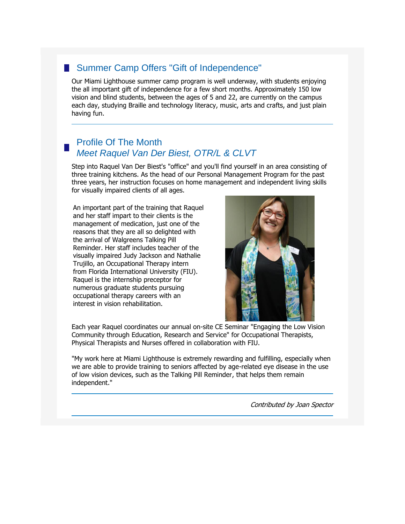### ■ Summer Camp Offers "Gift of Independence"

Our Miami Lighthouse summer camp program is well underway, with students enjoying the all important gift of independence for a few short months. Approximately 150 low vision and blind students, between the ages of 5 and 22, are currently on the campus each day, studying Braille and technology literacy, music, arts and crafts, and just plain having fun.

#### Profile Of The Month *Meet Raquel Van Der Biest, OTR/L & CLVT*

Step into Raquel Van Der Biest's "office" and you'll find yourself in an area consisting of three training kitchens. As the head of our Personal Management Program for the past three years, her instruction focuses on home management and independent living skills for visually impaired clients of all ages.

An important part of the training that Raquel and her staff impart to their clients is the management of medication, just one of the reasons that they are all so delighted with the arrival of Walgreens Talking Pill Reminder. Her staff includes teacher of the visually impaired Judy Jackson and Nathalie Trujillo, an Occupational Therapy intern from Florida International University (FIU). Raquel is the internship preceptor for numerous graduate students pursuing occupational therapy careers with an interest in vision rehabilitation.



Each year Raquel coordinates our annual on-site CE Seminar "Engaging the Low Vision Community through Education, Research and Service" for Occupational Therapists, Physical Therapists and Nurses offered in collaboration with FIU.

"My work here at Miami Lighthouse is extremely rewarding and fulfilling, especially when we are able to provide training to seniors affected by age-related eye disease in the use of low vision devices, such as the Talking Pill Reminder, that helps them remain independent."

Contributed by Joan Spector